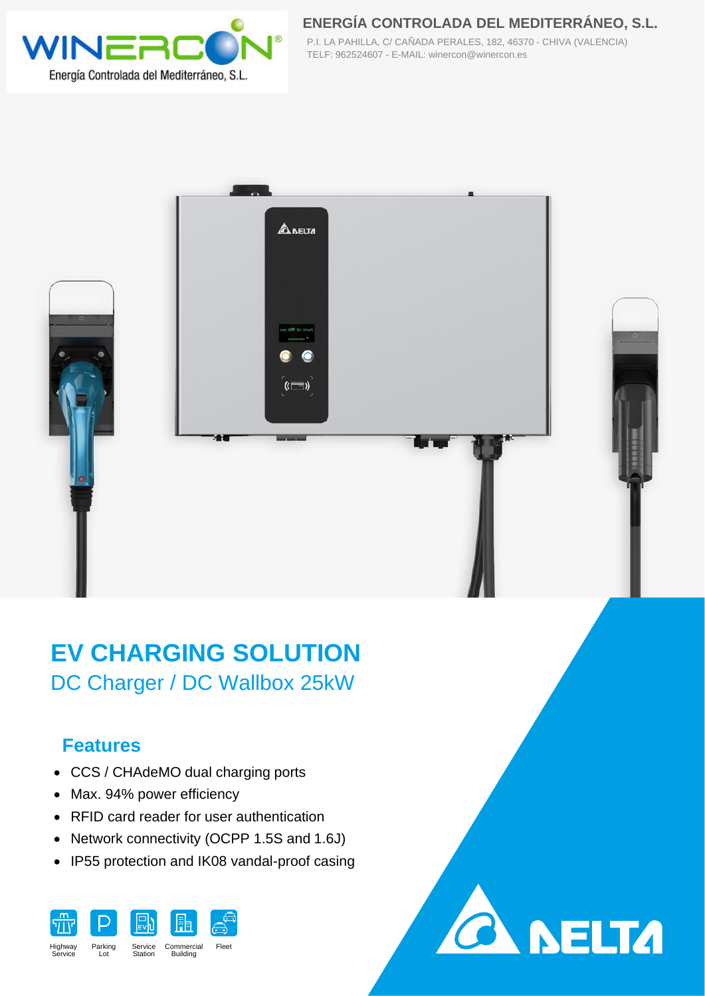

**ENERGÍA CONTROLADA DEL MEDITERRÁNEO, S.L.** P.I. LA PAHILLA, C/ CAÑADA PERALES, 182, 46370 - CHIVA (VALENCIA) TELF: 962524607 - E-MAIL: winercon@winercon.es

**SELTA** 







## **Features**

- CCS / CHAdeMO dual charging ports
- Max. 94% power efficiency
- RFID card reader for user authentication
- Network connectivity (OCPP 1.5S and 1.6J)
- IP55 protection and IK08 vandal-proof casing